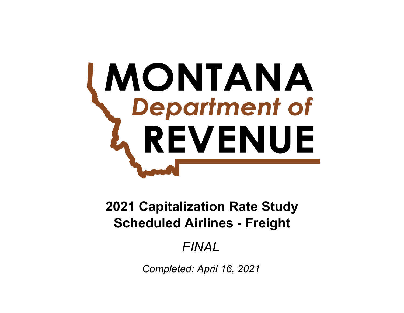# **MONTANA**<br>Chepartment of REVENUE

# **Scheduled Airlines - Freight 2021 Capitalization Rate Study**

# *FINAL*

*Completed: April 16, 2021*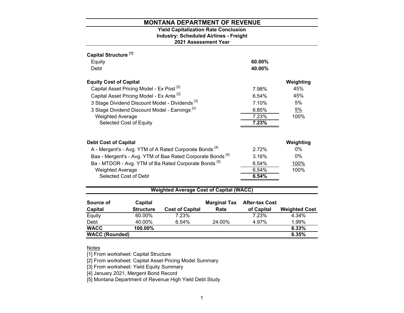# **2021 Assessment Year Industry: Scheduled Airlines - Freight Yield Capitalization Rate Conclusion**

| Capital Structure <sup>[1]</sup> |                                                      |                                                                        |                     |                       |                      |
|----------------------------------|------------------------------------------------------|------------------------------------------------------------------------|---------------------|-----------------------|----------------------|
| Equity                           |                                                      |                                                                        |                     | 60.00%                |                      |
| Debt                             |                                                      |                                                                        |                     | 40.00%                |                      |
| <b>Equity Cost of Capital</b>    |                                                      |                                                                        |                     |                       | Weighting            |
|                                  | Capital Asset Pricing Model - Ex Post <sup>[2]</sup> |                                                                        |                     | 7.98%                 | 45%                  |
|                                  | Capital Asset Pricing Model - Ex Ante <sup>[2]</sup> |                                                                        |                     | 6.54%                 | 45%                  |
|                                  |                                                      | 3 Stage Dividend Discount Model - Dividends <sup>[3]</sup>             |                     | 7.10%                 | 5%                   |
|                                  | 3 Stage Dividend Discount Model - Earnings [3]       |                                                                        |                     | 6.85%                 | 5%                   |
| <b>Weighted Average</b>          |                                                      |                                                                        |                     | 7.23%                 | 100%                 |
|                                  | Selected Cost of Equity                              |                                                                        |                     | 7.23%                 |                      |
|                                  |                                                      |                                                                        |                     |                       |                      |
| <b>Debt Cost of Capital</b>      |                                                      |                                                                        |                     |                       | Weighting            |
|                                  |                                                      | A - Mergent's - Avg. YTM of A Rated Corporate Bonds <sup>[4]</sup>     |                     | 2.72%                 | $0\%$                |
|                                  |                                                      | Baa - Mergent's - Avg. YTM of Baa Rated Corporate Bonds <sup>[4]</sup> |                     | 3.16%                 | 0%                   |
|                                  |                                                      | Ba - MTDOR - Avg. YTM of Ba Rated Corporate Bonds <sup>[5]</sup>       |                     | 6.54%                 | 100%                 |
| <b>Weighted Average</b>          |                                                      |                                                                        |                     | 6.54%                 | 100%                 |
|                                  | Selected Cost of Debt                                |                                                                        |                     | 6.54%                 |                      |
|                                  |                                                      | <b>Weighted Average Cost of Capital (WACC)</b>                         |                     |                       |                      |
|                                  |                                                      |                                                                        |                     |                       |                      |
| Source of                        | Capital                                              |                                                                        | <b>Marginal Tax</b> | <b>After-tax Cost</b> |                      |
| <b>Capital</b>                   | <b>Structure</b>                                     | <b>Cost of Capital</b>                                                 | Rate                | of Capital            | <b>Weighted Cost</b> |
| Equity                           | 60.00%                                               | 7.23%                                                                  |                     | 7.23%                 | 4.34%                |

| <b>WACC (Rounded)</b> |            |       |        |       | 6.35%    |
|-----------------------|------------|-------|--------|-------|----------|
| <b>WACC</b>           | $100.00\%$ |       |        |       | $6.33\%$ |
| Debt                  | 40.00%     | 6.54% | 24.00% | 4.97% | 1.99%    |
| Equity                | 60.00%     | 7.23% |        | 7.23% | 4.34%    |

### <u>Notes</u>

[1] From worksheet: Capital Structure

[2] From worksheet: Capital Asset Pricing Model Summary

[3] From worksheet: Yield Equity Summary

[4] January 2021, Mergent Bond Record

[5] Montana Department of Revenue High Yield Debt Study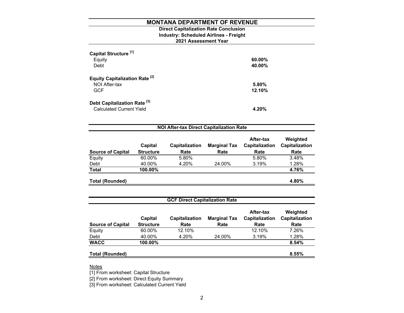# **2021 Assessment Year Industry: Scheduled Airlines - Freight Direct Capitalization Rate Conclusion**

| Capital Structure <sup>[1]</sup><br>Equity<br>Debt     | $60.00\%$<br>40.00% |
|--------------------------------------------------------|---------------------|
| <b>Equity Capitalization Rate [2]</b><br>NOI After-tax | 5.80%               |
| <b>GCF</b>                                             | 12.10%              |
| Debt Capitalization Rate <sup>[3]</sup>                |                     |
| <b>Calculated Current Yield</b>                        | 4.20%               |

| <b>Source of Capital</b> | Capital<br><b>Structure</b> | <b>Capitalization</b><br>Rate | <b>Marginal Tax</b><br>Rate | After-tax<br>Capitalization<br>Rate | Weighted<br>Capitalization<br>Rate |
|--------------------------|-----------------------------|-------------------------------|-----------------------------|-------------------------------------|------------------------------------|
| Equity                   | 60.00%                      | 5.80%                         |                             | 5.80%                               | 3.48%                              |
| Debt                     | 40.00%                      | 4.20%                         | 24.00%                      | 3.19%                               | 1.28%                              |
| <b>Total</b>             | 100.00%                     |                               |                             |                                     | 4.76%                              |
| <b>Total (Rounded)</b>   |                             |                               |                             |                                     | 4.80%                              |

| <b>GCF Direct Capitalization Rate</b> |                             |                               |                             |                                     |                                    |  |  |  |
|---------------------------------------|-----------------------------|-------------------------------|-----------------------------|-------------------------------------|------------------------------------|--|--|--|
| <b>Source of Capital</b>              | Capital<br><b>Structure</b> | <b>Capitalization</b><br>Rate | <b>Marginal Tax</b><br>Rate | After-tax<br>Capitalization<br>Rate | Weighted<br>Capitalization<br>Rate |  |  |  |
| Equity                                | 60.00%                      | 12.10%                        |                             | 12.10%                              | 7.26%                              |  |  |  |
| Debt                                  | 40.00%                      | 4.20%                         | 24.00%                      | 3.19%                               | 1.28%                              |  |  |  |
| <b>WACC</b>                           | 100.00%                     |                               |                             |                                     | 8.54%                              |  |  |  |
| <b>Total (Rounded)</b>                |                             |                               |                             |                                     | 8.55%                              |  |  |  |

<u>Notes</u>

[1] From worksheet: Capital Structure

[2] From worksheet: Direct Equity Summary

[3] From worksheet: Calculated Current Yield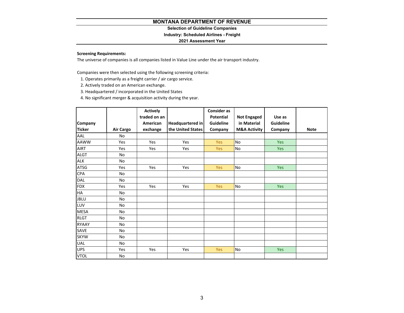# **Selection of Guideline Companies**

# **Industry: Scheduled Airlines - Freight**

### **2021 Assessment Year**

# **Screening Requirements:**

The universe of companies is all companies listed in Value Line under the air transport industry.

Companies were then selected using the following screening criteria:

- 1. Operates primarily as <sup>a</sup> freight carrier / air cargo service.
- 2. Actively traded on an American exchange.
- 3. Headquartered / incorporated in the United States
- 4. No significant merger & acquisition activity during the year.

|               |                  | <b>Actively</b> |                         | <b>Consider as</b> |                         |           |             |
|---------------|------------------|-----------------|-------------------------|--------------------|-------------------------|-----------|-------------|
|               |                  | traded on an    |                         | <b>Potential</b>   | <b>Not Engaged</b>      | Use as    |             |
| Company       |                  | American        | <b>Headquartered in</b> | Guideline          | in Material             | Guideline |             |
| <b>Ticker</b> | <b>Air Cargo</b> | exchange        | the United States       | Company            | <b>M&amp;A Activity</b> | Company   | <b>Note</b> |
| AAL           | <b>No</b>        |                 |                         |                    |                         |           |             |
| <b>AAWW</b>   | <b>Yes</b>       | Yes             | Yes                     | <b>Yes</b>         | No                      | Yes       |             |
| AIRT          | Yes              | Yes             | Yes                     | <b>Yes</b>         | No                      | Yes       |             |
| <b>ALGT</b>   | <b>No</b>        |                 |                         |                    |                         |           |             |
| <b>ALK</b>    | <b>No</b>        |                 |                         |                    |                         |           |             |
| ATSG          | Yes              | Yes             | Yes                     | Yes                | No                      | Yes       |             |
| CPA           | No               |                 |                         |                    |                         |           |             |
| DAL           | No               |                 |                         |                    |                         |           |             |
| <b>FDX</b>    | Yes              | Yes             | Yes                     | Yes                | No                      | Yes       |             |
| HA            | No               |                 |                         |                    |                         |           |             |
| <b>JBLU</b>   | No               |                 |                         |                    |                         |           |             |
| LUV           | No               |                 |                         |                    |                         |           |             |
| <b>MESA</b>   | No               |                 |                         |                    |                         |           |             |
| <b>RLGT</b>   | No               |                 |                         |                    |                         |           |             |
| <b>RYAAY</b>  | <b>No</b>        |                 |                         |                    |                         |           |             |
| SAVE          | No               |                 |                         |                    |                         |           |             |
| <b>SKYW</b>   | No               |                 |                         |                    |                         |           |             |
| UAL           | No               |                 |                         |                    |                         |           |             |
| <b>UPS</b>    | Yes              | Yes             | Yes                     | <b>Yes</b>         | No                      | Yes       |             |
| <b>VTOL</b>   | No               |                 |                         |                    |                         |           |             |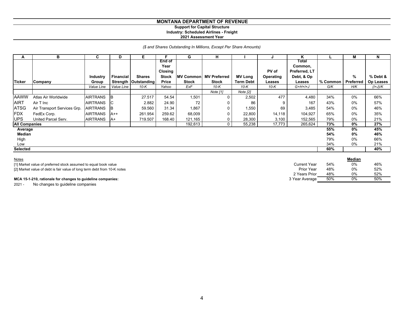### **MONTANA DEPARTMENT OF REVENUE Support for Capital Structure Industry: Scheduled Airlines - Freight 2021 Assessment Year**

# *(\$ and Shares Outstanding In Millions, Except Per Share Amounts)*

| A                    | в                           | C               | D          | E.                     |                | G                | н                   |                  |                  | ĸ             |          | М         | N         |
|----------------------|-----------------------------|-----------------|------------|------------------------|----------------|------------------|---------------------|------------------|------------------|---------------|----------|-----------|-----------|
|                      |                             |                 |            |                        | <b>End of</b>  |                  |                     |                  |                  | Total         |          |           |           |
|                      |                             |                 |            |                        | Year           |                  |                     |                  |                  | Common,       |          |           |           |
|                      |                             |                 |            |                        | <b>Closing</b> |                  |                     |                  | PV of            | Preferred, LT |          |           |           |
|                      |                             | Industry        | Financial  | <b>Shares</b>          | <b>Stock</b>   | <b>MV Common</b> | <b>MV Preferred</b> | <b>MV Long</b>   | <b>Operating</b> | Debt, & Op    |          | %         | % Debt &  |
| <b>Ticker</b>        | Company                     | Group           |            | Strength   Outstanding | Price          | <b>Stock</b>     | <b>Stock</b>        | <b>Term Debt</b> | Leases           | Leases        | % Common | Preferred | Op Leases |
|                      |                             | Value Line      | Value Line | 10-K                   | Yahoo          | ExF              | 10-K                | $10-K$           | $10-K$           | $G+H+H+J$     | G/K      | H/K       | $(l+J)/K$ |
|                      |                             |                 |            |                        |                |                  | Note [1]            | Note [2]         |                  |               |          |           |           |
| <b>AAWW</b>          | Atlas Air Worldwide         | <b>AIRTRANS</b> | B          | 27.517                 | 54.54          | 1,501            | $\Omega$            | 2,502            | 477              | 4,480         | 34%      | 0%        | 66%       |
| <b>AIRT</b>          | Air T Inc                   | <b>AIRTRANS</b> | C          | 2.882                  | 24.90          | 72               |                     | 86               |                  | 167           | 43%      | 0%        | 57%       |
| <b>ATSG</b>          | Air Transport Services Grp. | <b>AIRTRANS</b> | B          | 59.560                 | 31.34          | 1,867            |                     | 1,550            | 69               | 3,485         | 54%      | 0%        | 46%       |
| FDX                  | FedEx Corp.                 | <b>AIRTRANS</b> | $A++$      | 261.954                | 259.62         | 68,009           |                     | 22,800           | 14,118           | 104,927       | 65%      | 0%        | 35%       |
| <b>UPS</b>           | United Parcel Serv.         | <b>AIRTRANS</b> | A+         | 719.507                | 168.40         | 121,165          | 0                   | 28,300           | 3,100            | 152,565       | 79%      | 0%        | 21%       |
| <b>All Companies</b> |                             |                 |            |                        |                | 192,613          | $\Omega$            | 55,238           | 17,773           | 265,624       | 73%      | 0%        | 27%       |
| Average              |                             |                 |            |                        |                |                  |                     |                  |                  |               | 55%      | 0%        | 45%       |
| Median               |                             |                 |            |                        |                |                  |                     |                  |                  |               | 54%      | 0%        | 46%       |
| High                 |                             |                 |            |                        |                |                  |                     |                  |                  |               | 79%      | 0%        | 66%       |
| Low                  |                             |                 |            |                        |                |                  |                     |                  |                  |               | 34%      | 0%        | 21%       |
| <b>Selected</b>      |                             |                 |            |                        |                |                  |                     |                  |                  |               | 60%      |           | 40%       |

| Notes                                                                                                                                                                                                                          |                   |     | <b>Median</b> |     |
|--------------------------------------------------------------------------------------------------------------------------------------------------------------------------------------------------------------------------------|-------------------|-----|---------------|-----|
| [1] Market value of preferred stock assumed to equal book value                                                                                                                                                                | Current Year      | 54% | 0%            | 46% |
| [2] Market value of debt is fair value of long term debt from 10-K notes                                                                                                                                                       | <b>Prior Year</b> | 48% | 0%            | 52% |
|                                                                                                                                                                                                                                | 2 Years Prior     | 48% | 0%            | 52% |
| MCA 15-1-210, rationale for changes to quideline companies:                                                                                                                                                                    | 3 Year Average    | 50% | 0%            | 50% |
| the second contract of the second contract of the second contract of the second contract of the second contract of the second contract of the second contract of the second contract of the second contract of the second cont |                   |     |               |     |

2021 - No changes to guideline companies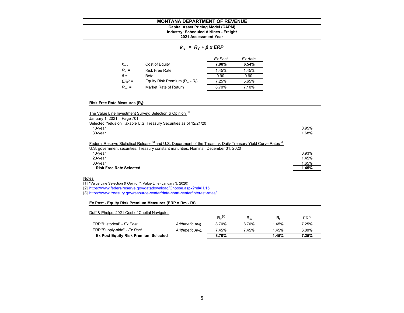# **Industry: Scheduled Airlines - Freight Capital Asset Pricing Model (CAPM)**

**2021 Assessment Year**

### *k <sup>e</sup>= R <sup>f</sup><sup>+</sup>β x ERP*

|           |                                   | Ex Post | Ex Ante |
|-----------|-----------------------------------|---------|---------|
| $K_{e}$   | Cost of Equity                    | 7.98%   | 6.54%   |
| $R_f =$   | <b>Risk Free Rate</b>             | 1.45%   | 1.45%   |
| $\beta =$ | Beta                              | 0.90    | 0.90    |
| $ERP =$   | Equity Risk Premium $(R_m - R_f)$ | 7.25%   | 5.65%   |
| $R_m =$   | Market Rate of Return             | 8.70%   | 7.10%   |

### **Risk Free Rate Measures (Rf):**

| The Value Line Investment Survey: Selection & Opinion [1]                                                                                                                                                                       |       |
|---------------------------------------------------------------------------------------------------------------------------------------------------------------------------------------------------------------------------------|-------|
| January 1, 2021 Page 701                                                                                                                                                                                                        |       |
| Selected Yields on Taxable U.S. Treasury Securities as of 12/21/20                                                                                                                                                              |       |
| $10$ -year                                                                                                                                                                                                                      | 0.95% |
| $30$ -year                                                                                                                                                                                                                      | 1.68% |
| Federal Reserve Statistical Release <sup>[2]</sup> and U.S. Department of the Treasury, Daily Treasury Yield Curve Rates <sup>[3]</sup><br>U.S. government securities, Treasury constant maturities, Nominal, December 31, 2020 |       |
| $10$ -year                                                                                                                                                                                                                      | 0.93% |
| 20-year                                                                                                                                                                                                                         | 1.45% |
| 30-year                                                                                                                                                                                                                         | 1.65% |
| <b>Risk Free Rate Selected</b>                                                                                                                                                                                                  | 1.45% |

### <u>Notes</u>

[1] "Value Line Selection & Opinion", Value Line (January 3, 2020)

[2] https://www.federalreserve.gov/datadownload/Choose.aspx?rel=H.15

[3] https://www.treasury.gov/resource-center/data-chart-center/interest-rates/

### **Ex Post - Equity Risk Premium Measures (ERP = Rm - Rf)**

| Duff & Phelps, 2021 Cost of Capital Navigator |                 |             |       |       |            |
|-----------------------------------------------|-----------------|-------------|-------|-------|------------|
|                                               |                 | $R_m^{[4]}$ | $R_m$ | $R_f$ | <b>ERP</b> |
| ERP "Historical" - Ex Post                    | Arithmetic Avg. | 8.70%       | 8.70% | 1.45% | 7.25%      |
| ERP "Supply-side" - Ex Post                   | Arithmetic Avg. | 7.45%       | 7.45% | 1.45% | 6.00%      |
| <b>Ex Post Equity Risk Premium Selected</b>   |                 | 8.70%       |       | 1.45% | 7.25%      |
|                                               |                 |             |       |       |            |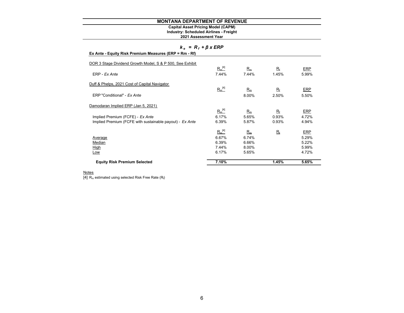# **Capital Asset Pricing Model (CAPM)**

**Industry: Scheduled Airlines - Freight**

### **2021 Assessment Year**

### *k <sup>e</sup>= R <sup>f</sup><sup>+</sup>β x ERP*

| $R_m^{[4]}$<br>7.44% | $R_m$<br>7.44% | $R_{\rm f}$<br>1.45% | <b>ERP</b><br>5.99% |
|----------------------|----------------|----------------------|---------------------|
|                      |                |                      |                     |
| $R_m^{[4]}$          | $R_m$          | $R_f$                | <b>ERP</b>          |
|                      | 8.00%          | 2.50%                | 5.50%               |
|                      |                |                      |                     |
| $R_m^{[4]}$          | $R_m$          | $R_{\rm f}$          | <b>ERP</b>          |
| 6.17%                | 5.65%          | 0.93%                | 4.72%               |
| 6.39%                | 5.87%          | 0.93%                | 4.94%               |
| $R_m^{[4]}$          | $R_m$          | $R_{\rm f}$          | <u>ERP</u>          |
| 6.67%                | 6.74%          |                      | 5.29%               |
| 6.39%                | 6.66%          |                      | 5.22%               |
| 7.44%                | 8.00%          |                      | 5.99%               |
| 6.17%                | 5.65%          |                      | 4.72%               |
| 7.10%                |                | 1.45%                | 5.65%               |
|                      |                |                      |                     |

### Notes

 $\overline{\left[4\right]}$   $\overline{\mathsf{R}_{\mathsf{m}}}$  estimated using selected Risk Free Rate ( $\overline{\mathsf{R}_{\mathsf{f}}}$ )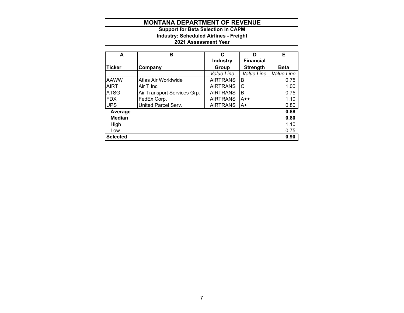# **2021 Assessment Year Industry: Scheduled Airlines - Freight Support for Beta Selection in CAPM**

| A               | в                           | C                 | D                | Е                 |
|-----------------|-----------------------------|-------------------|------------------|-------------------|
|                 |                             | <b>Industry</b>   | <b>Financial</b> |                   |
| <b>Ticker</b>   | Company                     | Group             | <b>Strength</b>  | <b>Beta</b>       |
|                 |                             | <b>Value Line</b> | Value Line       | <b>Value Line</b> |
| <b>AAWW</b>     | Atlas Air Worldwide         | <b>AIRTRANS</b>   | B                | 0.75              |
| <b>AIRT</b>     | Air T Inc                   | <b>AIRTRANS</b>   | IС               | 1.00              |
| <b>ATSG</b>     | Air Transport Services Grp. | <b>AIRTRANS</b>   | B                | 0.75              |
| <b>FDX</b>      | FedEx Corp.                 | <b>AIRTRANS</b>   | $A++$            | 1.10              |
| <b>UPS</b>      | United Parcel Serv.         | <b>AIRTRANS</b>   | A+               | 0.80              |
| Average         |                             |                   |                  | 0.88              |
| <b>Median</b>   |                             |                   |                  | 0.80              |
| High            |                             |                   |                  | 1.10              |
| Low             |                             |                   |                  | 0.75              |
| <b>Selected</b> |                             |                   |                  | 0.90              |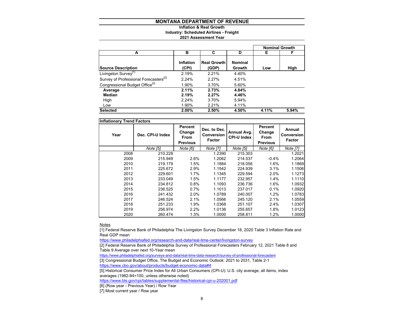# **Inflation & Real Growth**

**Industry: Scheduled Airlines - Freight**

### **2021 Assessment Year**

|                                                   |                           |                             |                          | <b>Nominal Growth</b> |       |
|---------------------------------------------------|---------------------------|-----------------------------|--------------------------|-----------------------|-------|
| A                                                 | в                         | C                           | D                        | Е                     | F     |
| <b>Source Description</b>                         | <b>Inflation</b><br>(CPI) | <b>Real Growth</b><br>(GDP) | <b>Nominal</b><br>Growth | Low                   | High  |
| Livingston Survey <sup>[1]</sup>                  | 2.19%                     | 2.21%                       | 4.40%                    |                       |       |
| Survey of Professional Forecasters <sup>[2]</sup> | 2.24%                     | 2.27%                       | 4.51%                    |                       |       |
| Congressional Budget Office <sup>[3]</sup>        | 1.90%                     | 3.70%                       | 5.60%                    |                       |       |
| Average                                           | 2.11%                     | 2.73%                       | 4.84%                    |                       |       |
| Median                                            | 2.19%                     | 2.27%                       | 4.46%                    |                       |       |
| High                                              | 2.24%                     | 3.70%                       | 5.94%                    |                       |       |
| Low                                               | 1.90%                     | 2.21%                       | 4.11%                    |                       |       |
| <b>Selected</b>                                   | 2.00%                     | 2.50%                       | 4.50%                    | 4.11%                 | 5.94% |

| <b>Inflationary Trend Factors</b> |                  |                                                     |                                      |                                   |                                                     |                                       |
|-----------------------------------|------------------|-----------------------------------------------------|--------------------------------------|-----------------------------------|-----------------------------------------------------|---------------------------------------|
| Year                              | Dec. CPI-U Index | Percent<br>Change<br><b>From</b><br><b>Previous</b> | Dec. to Dec.<br>Conversion<br>Factor | Annual Avg.<br><b>CPI-U Index</b> | Percent<br>Change<br><b>From</b><br><b>Previous</b> | Annual<br><b>Conversion</b><br>Factor |
|                                   | Note [5]         | Note [6]                                            | Note [7]                             | Note [5]                          | Note [6]                                            | Note [7]                              |
| 2008                              | 210.228          |                                                     | 1.2390                               | 215.303                           |                                                     | 1.2021                                |
| 2009                              | 215.949          | 2.6%                                                | 1.2062                               | 214.537                           | $-0.4%$                                             | 1.2064                                |
| 2010                              | 219.179          | 1.5%                                                | 1.1884                               | 218.056                           | 1.6%                                                | 1.1869                                |
| 2011                              | 225.672          | 2.9%                                                | 1.1542                               | 224.939                           | 3.1%                                                | 1.1506                                |
| 2012                              | 229.601          | 1.7%                                                | 1.1345                               | 229.594                           | 2.0%                                                | 1.1273                                |
| 2013                              | 233.049          | 1.5%                                                | 1.1177                               | 232.957                           | 1.4%                                                | 1.1110                                |
| 2014                              | 234.812          | 0.8%                                                | 1.1093                               | 236.736                           | 1.6%                                                | 1.0932                                |
| 2015                              | 236.525          | 0.7%                                                | 1.1013                               | 237.017                           | 0.1%                                                | 1.0920                                |
| 2016                              | 241.432          | 2.0%                                                | 1.0789                               | 240.007                           | 1.2%                                                | 1.0783                                |
| 2017                              | 246.524          | 2.1%                                                | 1.0566                               | 245.120                           | 2.1%                                                | 1.0559                                |
| 2018                              | 251.233          | 1.9%                                                | 1.0368                               | 251.107                           | 2.4%                                                | 1.0307                                |
| 2019                              | 256.974          | 2.2%                                                | 1.0136                               | 255.657                           | 1.8%                                                | 1.0123                                |
| 2020                              | 260.474          | 1.3%                                                | 1.0000                               | 258.811                           | 1.2%                                                | 1.0000                                |

<u>Notes</u>

[1] Federal Reserve Bank of Philadelphia The Livingston Survey December 18, 2020 Table 3 Inflation Rate and Real GDP mean

https://www.philadelphiafed.org/research-and-data/real-time-center/livingston-survey

[2] Federal Reserve Bank of Philadelphia Survey of Professional Forecasters February 12, 2021 Table 8 and Table 9 Average over next 10-Year mean

https://www.philadelphiafed.org/surveys-and-data/real-time-data-research/survey-of-professional-forecasters [3] Congressional Budget Office, The Budget and Economic Outlook: 2021 to 2031, Table 2-1

https://www.cbo.gov/about/products/budget-economic-data#4

[5] Historical Consumer Price Index for All Urban Consumers (CPI-U): U.S. city average, all items, index averages (1982-84=100, unless otherwise noted)

https://www.bls.gov/cpi/tables/supplemental-files/historical-cpi-u-202001.pdf

[6] (Row year - Previous Year) / Row Year

[7] Most current year / Row year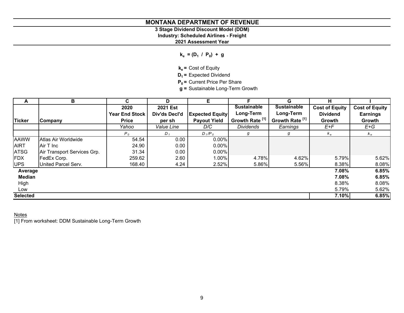# **3 Stage Dividend Discount Model (DDM)**

**Industry: Scheduled Airlines - Freight**

**2021 Assessment Year**

 $k_e = (D_1 / P_0) + g$ 

**ke =** Cost of Equity

**D<sub>1</sub>** = Expected Dividend

**P<sub>0</sub>** = Current Price Per Share

**g =** Sustainable Long-Term Growth

| A               | в                           | C              | D             | E.                     |                            | G                          | н                     |                       |
|-----------------|-----------------------------|----------------|---------------|------------------------|----------------------------|----------------------------|-----------------------|-----------------------|
|                 |                             | 2020           | 2021 Est      |                        | <b>Sustainable</b>         | <b>Sustainable</b>         | <b>Cost of Equity</b> | <b>Cost of Equity</b> |
|                 |                             | Year End Stock | Div'ds Decl'd | <b>Expected Equity</b> | Long-Term                  | Long-Term                  | <b>Dividend</b>       | <b>Earnings</b>       |
| <b>Ticker</b>   | Company                     | <b>Price</b>   | per sh        | <b>Payout Yield</b>    | Growth Rate <sup>[1]</sup> | Growth Rate <sup>[1]</sup> | Growth                | Growth                |
|                 |                             | Yahoo          | Value Line    | D/C                    | <b>Dividends</b>           | Earnings                   | E+F                   | E+G                   |
|                 |                             | $P_0$          | $D_1$         | $D_1/P_0$              | g                          | g                          | $k_e$                 | $k_e$                 |
| <b>AAWW</b>     | Atlas Air Worldwide         | 54.54          | 0.00          | 0.00%                  |                            |                            |                       |                       |
| <b>AIRT</b>     | Air T Inc                   | 24.90          | 0.00          | 0.00%                  |                            |                            |                       |                       |
| <b>ATSG</b>     | Air Transport Services Grp. | 31.34          | 0.00          | 0.00%                  |                            |                            |                       |                       |
| FDX             | FedEx Corp.                 | 259.62         | 2.60          | 1.00%                  | 4.78%                      | 4.62%                      | 5.79%                 | 5.62%                 |
| <b>UPS</b>      | United Parcel Serv.         | 168.40         | 4.24          | 2.52%                  | 5.86%                      | 5.56%                      | 8.38%                 | 8.08%                 |
| Average         |                             |                |               |                        |                            |                            | 7.08%                 | 6.85%                 |
| <b>Median</b>   |                             |                |               |                        |                            |                            | 7.08%                 | 6.85%                 |
| High            |                             |                |               |                        |                            |                            | 8.38%                 | 8.08%                 |
| Low             |                             |                |               |                        |                            |                            | 5.79%                 | 5.62%                 |
| <b>Selected</b> |                             |                |               |                        |                            |                            | 7.10%                 | 6.85%                 |

# <u>Notes</u>

[1] From worksheet: DDM Sustainable Long-Term Growth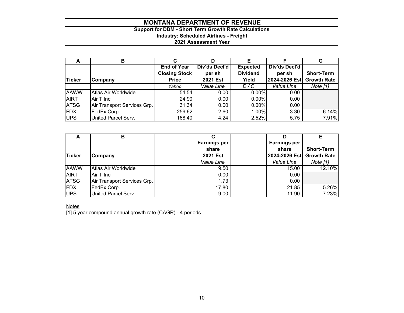# **Support for DDM - Short Term Growth Rate Calculations Industry: Scheduled Airlines - Freight**

# **2021 Assessment Year**

| A           | в                           |                      | D               |                 |                           | G                 |
|-------------|-----------------------------|----------------------|-----------------|-----------------|---------------------------|-------------------|
|             |                             | <b>End of Year</b>   | Div'ds Decl'd   | <b>Expected</b> | Div'ds Decl'd             |                   |
|             |                             | <b>Closing Stock</b> | per sh          | <b>Dividend</b> | per sh                    | <b>Short-Term</b> |
| Ticker      | Company                     | <b>Price</b>         | <b>2021 Est</b> | Yield           | 2024-2026 Est Growth Rate |                   |
|             |                             | Yahoo                | Value Line      | D/C             | Value Line                | Note [1]          |
| <b>AAWW</b> | Atlas Air Worldwide         | 54.54                | 0.00            | 0.00%           | 0.00                      |                   |
| <b>AIRT</b> | Air T Inc                   | 24.90                | 0.00            | 0.00%           | 0.00                      |                   |
| <b>ATSG</b> | Air Transport Services Grp. | 31.34                | 0.00            | $0.00\%$        | 0.00                      |                   |
| <b>FDX</b>  | FedEx Corp.                 | 259.62               | 2.60            | 1.00%           | 3.30                      | 6.14%             |
| UPS         | United Parcel Serv.         | 168.40               | 4.24            | 2.52%           | 5.75                      | 7.91%             |

| $\overline{\phantom{a}}$ | в                           | С                   |               |                    |
|--------------------------|-----------------------------|---------------------|---------------|--------------------|
|                          |                             | <b>Earnings per</b> | Earnings per  |                    |
|                          |                             | share               | share         | <b>Short-Term</b>  |
| <b>Ticker</b>            | Company                     | <b>2021 Est</b>     | 2024-2026 Est | <b>Growth Rate</b> |
|                          |                             | Value Line          | Value Line    | Note [1]           |
| <b>AAWW</b>              | Atlas Air Worldwide         | 9.50                | 15.00         | 12.10%             |
| AIRT                     | Air T Inc                   | 0.00                | 0.00          |                    |
| <b>ATSG</b>              | Air Transport Services Grp. | 1.73                | 0.00          |                    |
| FDX                      | FedEx Corp.                 | 17.80               | 21.85         | 5.26%              |
| UPS                      | United Parcel Serv.         | 9.00                | 11.90         | 7.23%              |

<u>Notes</u>

[1] 5 year compound annual growth rate (CAGR) - 4 periods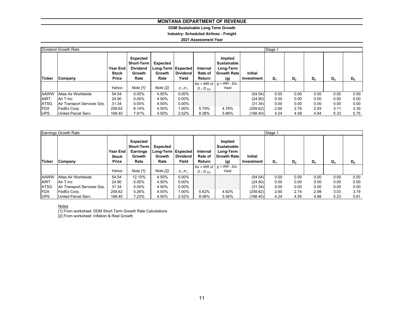# **DDM Sustainable Long Term Growth**

**Industry: Scheduled Airlines - Freight**

### **2021 Assessment Year**

|             | Dividend Growth Rate        |                                          |                                                                    |                                                    |                          |                               |                                                                         |                       | Stage 1 |      |       |       |       |
|-------------|-----------------------------|------------------------------------------|--------------------------------------------------------------------|----------------------------------------------------|--------------------------|-------------------------------|-------------------------------------------------------------------------|-----------------------|---------|------|-------|-------|-------|
| Ticker      | Company                     | Year End<br><b>Stock</b><br><b>Price</b> | Expected<br>Short-Term<br><b>Dividend</b><br><b>Growth</b><br>Rate | Expected<br>Long-Term   Expected<br>Growth<br>Rate | <b>Dividend</b><br>Yield | Internal<br>Rate of<br>Return | Implied<br><b>Sustainable</b><br>Long-Term<br><b>Growth Rate</b><br>(g) | Initial<br>Investment | $D_1$   | D,   | $D_3$ | $D_4$ | $D_5$ |
|             |                             |                                          |                                                                    |                                                    |                          |                               | $Ke = IRR$ of $g = IRR - Div.$                                          |                       |         |      |       |       |       |
|             |                             | Yahoo                                    | Note [1]                                                           | Note [2]                                           | $D_1/P_0$                | $D_1:D_{500}$                 | Yield                                                                   |                       |         |      |       |       |       |
| <b>AAWW</b> | Atlas Air Worldwide         | 54.54                                    | $0.00\%$                                                           | 4.50%                                              | $0.00\%$                 |                               |                                                                         | (54.54)               | 0.00    | 0.00 | 0.00  | 0.00  | 0.00  |
| <b>AIRT</b> | Air T Inc                   | 24.90                                    | $0.00\%$                                                           | 4.50%                                              | $0.00\%$                 |                               |                                                                         | (24.90)               | 0.00    | 0.00 | 0.00  | 0.00  | 0.00  |
| <b>ATSG</b> | Air Transport Services Grp. | 31.34                                    | $0.00\%$                                                           | 4.50%                                              | $0.00\%$                 |                               |                                                                         | (31.34)               | 0.00    | 0.00 | 0.00  | 0.00  | 0.00  |
| <b>FDX</b>  | FedEx Corp.                 | 259.62                                   | 6.14%                                                              | 4.50%                                              | 1.00%                    | 5.79%                         | 4.78%                                                                   | (259.62)              | 2.60    | 2.76 | 2.93  | 3.11  | 3.30  |
| <b>UPS</b>  | United Parcel Serv.         | 168.40                                   | 7.91%                                                              | 4.50%                                              | 2.52%                    | 8.38%                         | 5.86%                                                                   | (168.40)              | 4.24    | 4.58 | 4.94  | 5.33  | 5.75  |

|               | Earnings Growth Rate        |                                   |                                                                    |                                                      |                          |                               |                                                                         |                              | Stage 1 |                |       |       |       |
|---------------|-----------------------------|-----------------------------------|--------------------------------------------------------------------|------------------------------------------------------|--------------------------|-------------------------------|-------------------------------------------------------------------------|------------------------------|---------|----------------|-------|-------|-------|
| <b>Ticker</b> | Company                     | Year End<br><b>Stock</b><br>Price | Expected<br><b>Short-Term</b><br><b>Earnings</b><br>Growth<br>Rate | Expected<br>Long-Term   Expected  <br>Growth<br>Rate | <b>Dividend</b><br>Yield | Internal<br>Rate of<br>Return | Implied<br><b>Sustainable</b><br>Long-Term<br><b>Growth Rate</b><br>(g) | <b>Initial</b><br>Investment | $D_1$   | D <sub>2</sub> | $D_3$ | $D_4$ | $D_5$ |
|               |                             | Yahoo                             | Note [1]                                                           | Note [2]                                             | $D_1/P_0$                | $D_1$ : $D_{500}$             | $Ke = IRR$ of $g = IRR - Div.$<br>Yield                                 |                              |         |                |       |       |       |
| <b>AAWW</b>   | Atlas Air Worldwide         | 54.54                             | 12.10%                                                             | 4.50%                                                | $0.00\%$                 |                               |                                                                         | (54.54)                      | 0.00    | 0.00           | 0.00  | 0.00  | 0.00  |
| <b>AIRT</b>   | Air T Inc                   | 24.90                             | $0.00\%$                                                           | 4.50%                                                | $0.00\%$                 |                               |                                                                         | (24.90)                      | 0.00    | 0.00           | 0.00  | 0.00  | 0.00  |
| <b>ATSG</b>   | Air Transport Services Grp. | 31.34                             | $0.00\%$                                                           | 4.50%                                                | $0.00\%$                 |                               |                                                                         | (31.34)                      | 0.00    | 0.00           | 0.00  | 0.00  | 0.00  |
| <b>FDX</b>    | FedEx Corp.                 | 259.62                            | 5.26%                                                              | 4.50%                                                | 1.00%                    | 5.62%                         | 4.62%                                                                   | (259.62)                     | 2.60    | 2.74           | 2.88  | 3.03  | 3.19  |
| <b>UPS</b>    | United Parcel Serv.         | 168.40                            | 7.23%                                                              | 4.50%                                                | 2.52%                    | 8.08%                         | 5.56%                                                                   | (168.40)                     | 4.24    | 4.55           | 4.88  | 5.23  | 5.61  |

<u>Notes</u><br>[1] From worksheet: DDM Short Term Growth Rate Calculations

[2] From worksheet: Inflation & Real Growth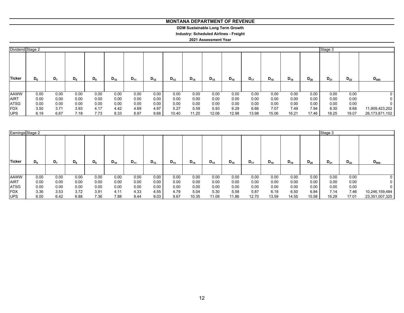**DDM Sustainable Long Term Growth**

**Industry: Scheduled Airlines - Freight**

|             | Dividend Stage 2 |      |       |         |          |          |          |          |          |          |          |          |          |          |          | Stage 3  |          |                |
|-------------|------------------|------|-------|---------|----------|----------|----------|----------|----------|----------|----------|----------|----------|----------|----------|----------|----------|----------------|
| Ticker      | $D_6$            | D,   | $D_8$ | $D_{9}$ | $D_{10}$ | $D_{11}$ | $D_{12}$ | $D_{13}$ | $D_{14}$ | $D_{15}$ | $D_{16}$ | $D_{17}$ | $D_{18}$ | $D_{19}$ | $D_{20}$ | $D_{21}$ | $D_{22}$ | $D_{500}$      |
|             |                  |      |       |         |          |          |          |          |          |          |          |          |          |          |          |          |          |                |
| <b>AAWW</b> | 0.00             | 0.00 | 0.00  | 0.00    | 0.00     | 0.00     | 0.00     | 0.00     | 0.00     | 0.00     | 0.00     | 0.00     | 0.00     | 0.00     | 0.00     | 0.00     | 0.00     | 0              |
| <b>AIRT</b> | 0.00             | 0.00 | 0.00  | 0.00    | 0.00     | 0.00     | 0.00     | 0.00     | 0.00     | 0.00     | 0.00     | 0.00     | 0.00     | 0.00     | 0.00     | 0.00     | 0.00     | 0              |
| <b>ATSG</b> | 0.00             | 0.00 | 0.00  | 0.00    | 0.00     | 0.00     | 0.00     | 0.00     | 0.00     | 0.00     | 0.00     | 0.00     | 0.00     | 0.00     | 0.00     | 0.00     | 0.00     | 0              |
| <b>FDX</b>  | 3.50             | 3.71 | 3.93  | 4.17    | 4.42     | 4.69     | 4.97     | 5.27     | 5.59     | 5.93     | 6.29     | 6.66     | 7.07     | 7.49     | 7.94     | 8.30     | 8.68     | 11,909,423,202 |
| <b>UPS</b>  | 6.19             | 6.67 | 7.18  | 7.73    | 8.33     | 8.97     | 9.66     | 10.40    | 11.20    | 12.06    | 12.98    | 13.98    | 15.06    | 16.21    | 17.46    | 18.25    | 19.07    | 26,173,871,102 |

|             | Earnings Stage 2 |       |       |       |          |          |          |          |          |          |          |          |          |          |                      | Stage 3 |          |                |
|-------------|------------------|-------|-------|-------|----------|----------|----------|----------|----------|----------|----------|----------|----------|----------|----------------------|---------|----------|----------------|
| Ticker      | $D_6$            | $D_7$ | $D_8$ | $D_9$ | $D_{10}$ | $D_{11}$ | $D_{12}$ | $D_{13}$ | $D_{14}$ | $D_{15}$ | $D_{16}$ | $D_{17}$ | $D_{18}$ | $D_{19}$ | $D_{20}$<br>$D_{21}$ |         | $D_{22}$ | $D_{500}$      |
|             |                  |       |       |       |          |          |          |          |          |          |          |          |          |          |                      |         |          |                |
| <b>AAWW</b> | 0.00             | 0.00  | 0.00  | 0.00  | 0.00     | 0.00     | 0.00     | 0.00     | 0.00     | 0.00     | 0.00     | 0.00     | 0.00     | 0.00     | 0.00                 | 0.00    | 0.00     |                |
| <b>AIRT</b> | 0.00             | 0.00  | 0.00  | 0.00  | 0.00     | 0.00     | 0.00     | 0.00     | 0.00     | 0.00     | 0.00     | 0.00     | 0.00     | 0.00     | 0.00                 | 0.00    | 0.00     |                |
| <b>ATSG</b> | 0.00             | 0.00  | 0.00  | 0.00  | 0.00     | 0.00     | 0.00     | 0.00     | 0.00     | 0.00     | 0.00     | 0.00     | 0.00     | 0.00     | 0.00                 | 0.00    | 0.00     |                |
| <b>FDX</b>  | 3.36             | 3.53  | 3.72  | 3.91  | 4.11     | 4.33     | 4.55     | 4.79     | 5.04     | 5.30     | 5.58     | 5.87     | 6.18     | 6.50     | 6.84                 | 7.14    | 7.46     | 10,246,159,484 |
| <b>UPS</b>  | 6.00             | 6.42  | 6.88  | 7.36  | 7.88     | 8.44     | 9.03     | 9.67     | 10.35    | 11.08    | 11.86    | 12.70    | 13.59    | 14.55    | 15.58                | 16.28   | 17.01    | 23,351,007,325 |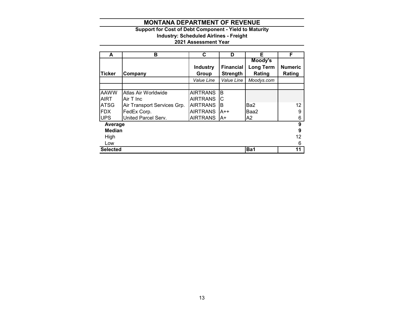# **Support for Cost of Debt Component - Yield to Maturity**

**Industry: Scheduled Airlines - Freight**

| A               | в                           | C               | D                | Е                | F              |
|-----------------|-----------------------------|-----------------|------------------|------------------|----------------|
|                 |                             |                 |                  | Moody's          |                |
|                 |                             | <b>Industry</b> | <b>Financial</b> | <b>Long Term</b> | <b>Numeric</b> |
| <b>Ticker</b>   | Company                     | Group           | <b>Strength</b>  | Rating           | Rating         |
|                 |                             | Value Line      | Value Line       | Moodys.com       |                |
|                 |                             |                 |                  |                  |                |
| <b>AAWW</b>     | Atlas Air Worldwide         | <b>AIRTRANS</b> | B                |                  |                |
| AIRT            | Air T Inc                   | <b>AIRTRANS</b> | С                |                  |                |
| <b>ATSG</b>     | Air Transport Services Grp. | <b>AIRTRANS</b> | B                | Ba2              | 12             |
| <b>FDX</b>      | FedEx Corp.                 | <b>AIRTRANS</b> | A++              | Baa2             | 9              |
| <b>UPS</b>      | United Parcel Serv.         | <b>AIRTRANS</b> | IA+              | A2               | 6              |
| Average         |                             |                 |                  |                  | 9              |
| <b>Median</b>   |                             |                 |                  |                  | 9              |
| High            |                             |                 |                  |                  | 12             |
| Low             |                             |                 |                  |                  | 6              |
| <b>Selected</b> |                             |                 |                  | Ba1              | 11             |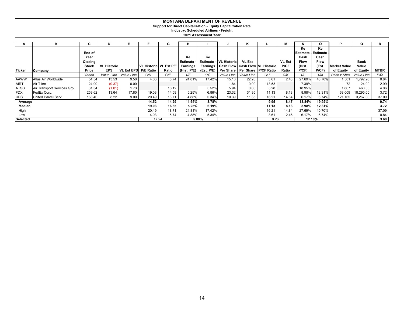### **Support for Direct Capitalization - Equity Capitalization Rate**

**Industry: Scheduled Airlines - Freight**

| A             | в                           | C       | D                  | Е                    |                        | G     | н               |            |                               | n                     |                                                | м             | N                          | O      |                         | Q           | R.          |
|---------------|-----------------------------|---------|--------------------|----------------------|------------------------|-------|-----------------|------------|-------------------------------|-----------------------|------------------------------------------------|---------------|----------------------------|--------|-------------------------|-------------|-------------|
|               |                             |         |                    |                      |                        |       |                 |            |                               |                       |                                                |               | Ke                         | Ke     |                         |             |             |
|               |                             | End of  |                    |                      |                        |       |                 |            |                               |                       |                                                |               | <b>Estimate - Estimate</b> |        |                         |             |             |
|               |                             | Year    |                    |                      |                        |       | Ke              | Ke         |                               |                       |                                                |               | Cash                       | Cash   |                         |             |             |
|               |                             | Closing |                    |                      |                        |       | <b>Estimate</b> |            | <b>Estimate - VL Historic</b> | <b>VL Est</b>         |                                                | <b>VL Est</b> | <b>Flow</b>                | Flow   |                         | <b>Book</b> |             |
|               |                             | Stock   | <b>VL Historic</b> |                      | VL Historic VL Est P/E |       | <b>Earnings</b> |            |                               |                       | Earnings   Cash Flow   Cash Flow   VL Historic | P/CF          | (Hist.                     | (Est.  | <b>Market Value</b>     | Value       |             |
| <b>Ticker</b> | Company                     | Price   | <b>EPS</b>         | VL Est EPS P/E Ratio |                        | Ratio | (Hist. P/E)     | (Est. P/E) |                               |                       | Per Share   Per Share   P/CF Ratio             | Ratio         | P(CF)                      | P(CF)  | of Equity               | of Equity   | <b>MTBR</b> |
|               |                             | Yahoo   | Value Line         | Value Line           | C/D                    | C/E   | 1/F             | 1/G        |                               | Value Line Value Line | C/J                                            | C/K           | 1/L                        | 1/M    | Price x Shrs Value Line |             | P/Q         |
| <b>AAWW</b>   | Atlas Air Worldwide         | 54.54   | 13.53              | 9.50                 | 4.03                   | 5.74  | 24.81%          | 17.42%     | 15.10                         | 22.20                 | 3.61                                           | 2.46          | 27.69%                     | 40.70% | 1,501                   | ,792.20     | 0.84        |
| <b>AIRT</b>   | Air T Inc                   | 24.90   | (0.37)             | 0.00                 |                        |       |                 |            | 1.84                          | 0.00                  | 13.53                                          |               | 7.39%                      |        | 72                      | 24.00       | 2.99        |
| ATSG          | Air Transport Services Grp. | 31.34   | (1.01)             | 1.73                 |                        | 18.12 |                 | 5.52%      | 5.94                          | 0.00                  | 5.28                                           |               | 18.95%                     |        | 1,867                   | 460.30      | 4.06        |
| <b>FDX</b>    | FedEx Corp.                 | 259.62  | 13.64              | 17.80                | 19.03                  | 14.59 | 5.25%           | 6.86%      | 23.32                         | 31.95                 | 11.13                                          | 8.13          | 8.98%                      | 12.31% | 68,009                  | 18,295.00   | 3.72        |
| <b>UPS</b>    | United Parcel Serv.         | 168.40  | 8.22               | 9.00                 | 20.49                  | 18.71 | 4.88%           | 5.34%      | 10.39                         | 11.35                 | 16.21                                          | 14.84         | 6.17%                      | 6.74%  | 121,165                 | 3,267.00    | 37.09       |
| Average       |                             |         |                    |                      | 14.52                  | 14.29 | 11.65%          | 8.78%      |                               |                       | 9.95                                           | 8.47          | 13.84%                     | 19.92% |                         |             | 9.74        |
| Median        |                             |         |                    |                      | 19.03                  | 16.35 | 5.25%           | 6.19%      |                               |                       | 11.13                                          | 8.13          | 8.98%                      | 12.31% |                         |             | 3.72        |
| High          |                             |         |                    |                      | 20.49                  | 18.71 | 24.81%          | 17.42%     |                               |                       | 16.21                                          | 14.84         | 27.69%                     | 40.70% |                         |             | 37.09       |
| Low           |                             |         |                    |                      | 4.03                   | 5.74  | 4.88%           | 5.34%      |                               |                       | 3.61                                           | 2.46          | 6.17%                      | 6.74%  |                         |             | 0.84        |
| Selected      |                             |         |                    |                      | 17.24                  |       |                 | 5.80%      |                               |                       | 8.26                                           |               |                            | 12.10% |                         |             | 3.60        |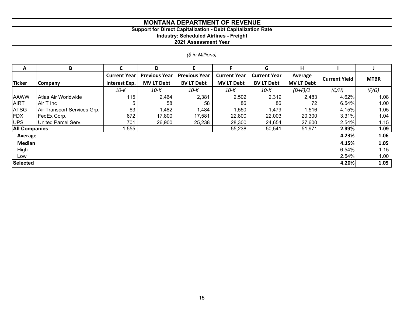# **Support for Direct Capitalization - Debt Capitalization Rate**

**Industry: Scheduled Airlines - Freight**

**2021 Assessment Year**

# *(\$ in Millions)*

| A                    | B                           | C                                    | D                                         | E.                                        |                                          | G                                        | н                            |                      |             |
|----------------------|-----------------------------|--------------------------------------|-------------------------------------------|-------------------------------------------|------------------------------------------|------------------------------------------|------------------------------|----------------------|-------------|
| <b>Ticker</b>        | <b>Company</b>              | <b>Current Year</b><br>Interest Exp. | <b>Previous Year</b><br><b>MV LT Debt</b> | <b>Previous Year</b><br><b>BV LT Debt</b> | <b>Current Year</b><br><b>MV LT Debt</b> | <b>Current Year</b><br><b>BV LT Debt</b> | Average<br><b>MV LT Debt</b> | <b>Current Yield</b> | <b>MTBR</b> |
|                      |                             | 10-K                                 | 10-K                                      | $10-K$                                    | 10-K                                     | 10-K                                     | $(D+F)/2$                    | (C/H)                | (F/G)       |
| <b>AAWW</b>          | Atlas Air Worldwide         | 115                                  | 2,464                                     | 2,381                                     | 2,502                                    | 2,319                                    | 2,483                        | 4.62%                | 1.08        |
| <b>AIRT</b>          | Air T Inc                   | 5                                    | 58                                        | 58                                        | 86                                       | 86                                       | 72                           | 6.54%                | 1.00        |
| <b>ATSG</b>          | Air Transport Services Grp. | 63                                   | 1,482                                     | 1,484                                     | 1,550                                    | 1,479                                    | 1,516                        | 4.15%                | 1.05        |
| <b>FDX</b>           | FedEx Corp.                 | 672                                  | 17,800                                    | 17,581                                    | 22,800                                   | 22,003                                   | 20,300                       | 3.31%                | 1.04        |
| <b>UPS</b>           | United Parcel Serv.         | 701                                  | 26,900                                    | 25,238                                    | 28,300                                   | 24,654                                   | 27,600                       | 2.54%                | 1.15        |
| <b>All Companies</b> |                             | ,555                                 |                                           |                                           | 55,238                                   | 50,541                                   | 51,971                       | 2.99%                | 1.09        |
| Average              |                             |                                      |                                           |                                           |                                          |                                          |                              | 4.23%                | 1.06        |
| <b>Median</b>        |                             |                                      |                                           |                                           |                                          |                                          |                              | 4.15%                | 1.05        |
| High                 |                             |                                      |                                           |                                           |                                          |                                          |                              | 6.54%                | 1.15        |
| Low                  |                             |                                      |                                           |                                           |                                          |                                          |                              | 2.54%                | 1.00        |
| <b>Selected</b>      |                             |                                      |                                           |                                           |                                          |                                          |                              | 4.20%                | 1.05        |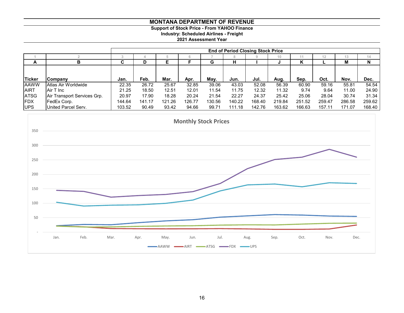# **Support of Stock Price - From YAHOO Finance**

**Industry: Scheduled Airlines - Freight**

|               |                             | <b>End of Period Closing Stock Price</b> |        |        |        |        |            |        |                 |        |        |        |        |
|---------------|-----------------------------|------------------------------------------|--------|--------|--------|--------|------------|--------|-----------------|--------|--------|--------|--------|
|               |                             |                                          |        |        |        |        | $\circ$    |        | 10 <sup>1</sup> |        |        | 13     | 14     |
| A             | в                           | ~<br>ັ                                   | D      |        |        | G      | н          |        | w               | Κ      |        | М      | N      |
|               |                             |                                          |        |        |        |        |            |        |                 |        |        |        |        |
| <b>Ticker</b> | <b>Company</b>              | Jan.                                     | Feb.   | Mar.   | Apr.   | May.   | Jun.       | Jul.   | Aug.            | Sep.   | Oct.   | Nov.   | Dec.   |
| <b>AAWW</b>   | Atlas Air Worldwide         | 22.35                                    | 26.72  | 25.67  | 32.85  | 39.06  | 43.03      | 52.08  | 56.39           | 60.90  | 59.16  | 55.81  | 54.54  |
| <b>AIRT</b>   | Air T Inc                   | 21.25                                    | 18.50  | 12.51  | 12.01  | 11.54  | 11.75      | 12.32  | 11.32           | 9.74   | 9.64   | 11.00  | 24.90  |
| <b>ATSG</b>   | Air Transport Services Grp. | 20.97                                    | 17.90  | 18.28  | 20.24  | 21.54  | 22.27      | 24.37  | 25.42           | 25.06  | 28.04  | 30.74  | 31.34  |
| <b>IFDX</b>   | FedEx Corp.                 | 144.64                                   | 141.17 | 121.26 | 126.77 | 130.56 | 140.22     | 168.40 | 219.84          | 251.52 | 259.47 | 286.58 | 259.62 |
| <b>UPS</b>    | United Parcel Serv.         | 103.52                                   | 90.49  | 93.42  | 94.66  | 99.71  | .18<br>111 | 142.76 | 163.62          | 166.63 | 157.11 | 171.07 | 168.40 |